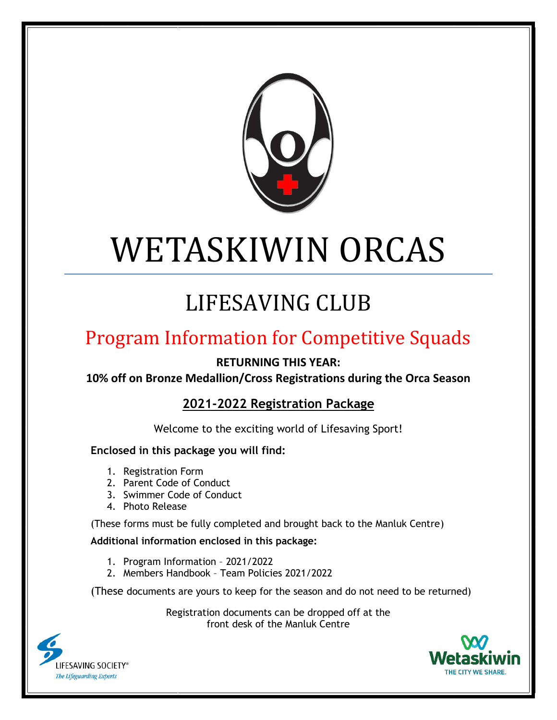

# WETASKIWIN ORCAS

# LIFESAVING CLUB

## Program Information for Competitive Squads

**RETURNING THIS YEAR:**

**10% off on Bronze Medallion/Cross Registrations during the Orca Season**

**2021-2022 Registration Package**

Welcome to the exciting world of Lifesaving Sport!

#### **Enclosed in this package you will find:**

- 1. Registration Form
- 2. Parent Code of Conduct
- 3. Swimmer Code of Conduct
- 4. Photo Release

(These forms must be fully completed and brought back to the Manluk Centre)

#### **Additional information enclosed in this package:**

- 1. Program Information 2021/2022
- 2. Members Handbook Team Policies 2021/2022

(These documents are yours to keep for the season and do not need to be returned)

Registration documents can be dropped off at the front desk of the Manluk Centre



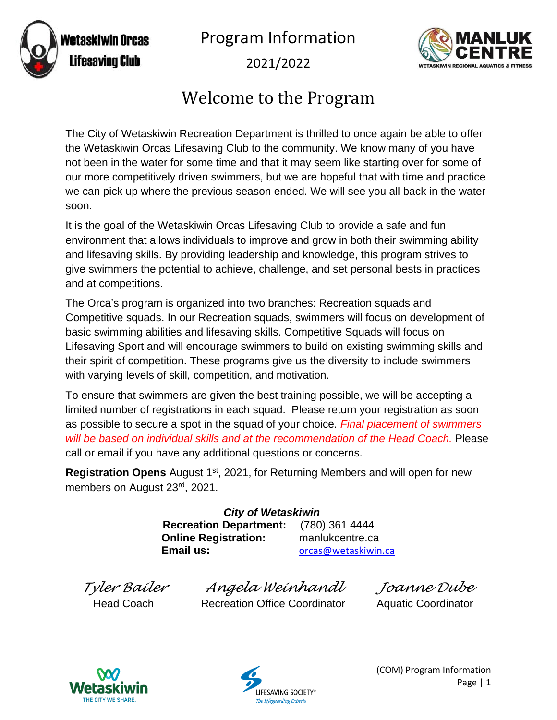



2021/2022

### Welcome to the Program

The City of Wetaskiwin Recreation Department is thrilled to once again be able to offer the Wetaskiwin Orcas Lifesaving Club to the community. We know many of you have not been in the water for some time and that it may seem like starting over for some of our more competitively driven swimmers, but we are hopeful that with time and practice we can pick up where the previous season ended. We will see you all back in the water soon.

It is the goal of the Wetaskiwin Orcas Lifesaving Club to provide a safe and fun environment that allows individuals to improve and grow in both their swimming ability and lifesaving skills. By providing leadership and knowledge, this program strives to give swimmers the potential to achieve, challenge, and set personal bests in practices and at competitions.

The Orca's program is organized into two branches: Recreation squads and Competitive squads. In our Recreation squads, swimmers will focus on development of basic swimming abilities and lifesaving skills. Competitive Squads will focus on Lifesaving Sport and will encourage swimmers to build on existing swimming skills and their spirit of competition. These programs give us the diversity to include swimmers with varying levels of skill, competition, and motivation.

To ensure that swimmers are given the best training possible, we will be accepting a limited number of registrations in each squad. Please return your registration as soon as possible to secure a spot in the squad of your choice. *Final placement of swimmers will be based on individual skills and at the recommendation of the Head Coach.* Please call or email if you have any additional questions or concerns.

**Registration Opens** August 1<sup>st</sup>, 2021, for Returning Members and will open for new members on August 23rd, 2021.

> *City of Wetaskiwin* **Recreation Department:** (780) 361 4444 **Online Registration:** manlukcentre.ca **Email us:** [orcas@wetaskiwin.ca](mailto:orcas@wetaskiwin.ca)

*Tyler Bailer Angela Weinhandl Joanne Dube* Recreation Office Coordinator Aquatic Coordinator



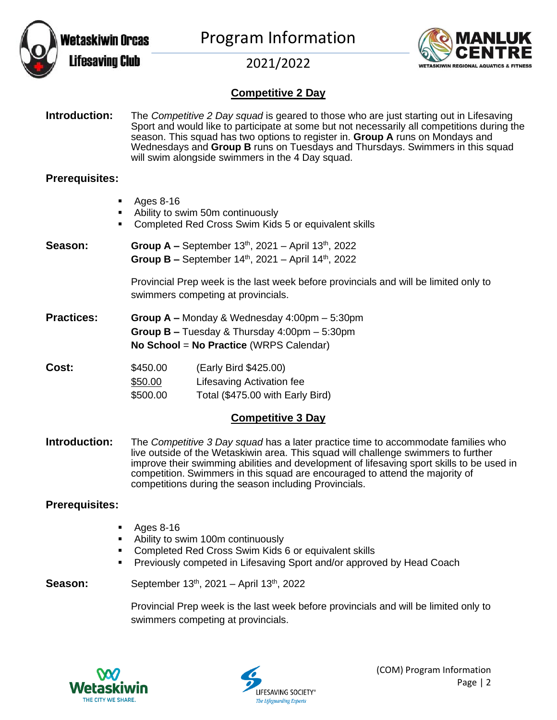





#### **Competitive 2 Day**

**Introduction:** The *Competitive 2 Day squad* is geared to those who are just starting out in Lifesaving Sport and would like to participate at some but not necessarily all competitions during the season. This squad has two options to register in. **Group A** runs on Mondays and Wednesdays and **Group B** runs on Tuesdays and Thursdays. Swimmers in this squad will swim alongside swimmers in the 4 Day squad.

#### **Prerequisites:**

- Ages 8-16
- Ability to swim 50m continuously
- Completed Red Cross Swim Kids 5 or equivalent skills
- **Season: Group A –** September 13<sup>th</sup>, 2021 April 13<sup>th</sup>, 2022 Group B - September 14<sup>th</sup>, 2021 - April 14<sup>th</sup>, 2022

Provincial Prep week is the last week before provincials and will be limited only to swimmers competing at provincials.

**Practices: Group A –** Monday & Wednesday 4:00pm – 5:30pm **Group B –** Tuesday & Thursday 4:00pm – 5:30pm **No School** = **No Practice** (WRPS Calendar)

| <b>Cost:</b> | \$450.00 | (Early Bird \$425.00)            |
|--------------|----------|----------------------------------|
|              | \$50.00  | Lifesaving Activation fee        |
|              | \$500.00 | Total (\$475.00 with Early Bird) |

#### **Competitive 3 Day**

**Introduction:** The *Competitive 3 Day squad* has a later practice time to accommodate families who live outside of the Wetaskiwin area. This squad will challenge swimmers to further improve their swimming abilities and development of lifesaving sport skills to be used in competition. Swimmers in this squad are encouraged to attend the majority of competitions during the season including Provincials.

#### **Prerequisites:**

- Ages 8-16
- Ability to swim 100m continuously
- Completed Red Cross Swim Kids 6 or equivalent skills
- Previously competed in Lifesaving Sport and/or approved by Head Coach

**Season:** September 13<sup>th</sup>, 2021 – April 13<sup>th</sup>, 2022

Provincial Prep week is the last week before provincials and will be limited only to swimmers competing at provincials.



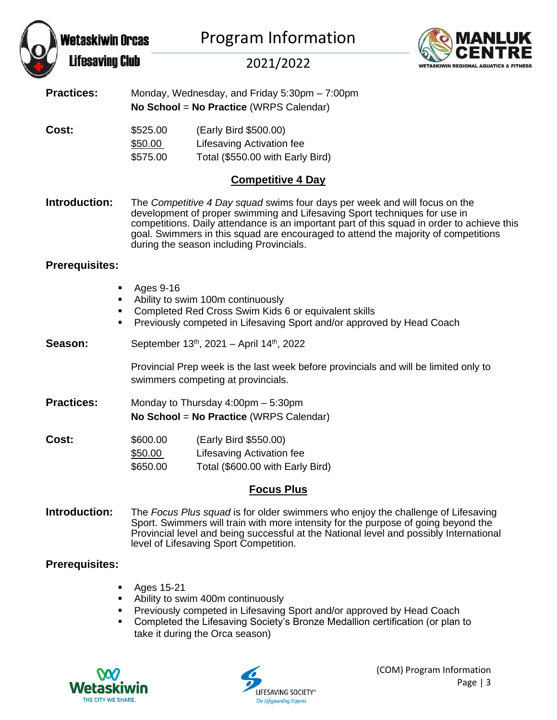|                       | Wetaskiwin Orcas<br><b>Lifesaving Club</b> | <b>Program Information</b><br>2021/2022                                                                                                                                                                                                                                                                                                                                                 | MANLUK<br>NETASKIWIN REGIONAL AQUATICS & |  |  |
|-----------------------|--------------------------------------------|-----------------------------------------------------------------------------------------------------------------------------------------------------------------------------------------------------------------------------------------------------------------------------------------------------------------------------------------------------------------------------------------|------------------------------------------|--|--|
| <b>Practices:</b>     |                                            | Monday, Wednesday, and Friday 5:30pm - 7:00pm<br>No School = No Practice (WRPS Calendar)                                                                                                                                                                                                                                                                                                |                                          |  |  |
| Cost:                 | \$525.00<br>\$50.00<br>\$575.00            | (Early Bird \$500.00)<br>Lifesaving Activation fee<br>Total (\$550.00 with Early Bird)                                                                                                                                                                                                                                                                                                  |                                          |  |  |
|                       |                                            | <b>Competitive 4 Day</b>                                                                                                                                                                                                                                                                                                                                                                |                                          |  |  |
| Introduction:         |                                            | The Competitive 4 Day squad swims four days per week and will focus on the<br>development of proper swimming and Lifesaving Sport techniques for use in<br>competitions. Daily attendance is an important part of this squad in order to achieve this<br>goal. Swimmers in this squad are encouraged to attend the majority of competitions<br>during the season including Provincials. |                                          |  |  |
| <b>Prerequisites:</b> |                                            |                                                                                                                                                                                                                                                                                                                                                                                         |                                          |  |  |
|                       | ٠<br>٠<br>٠                                | Ages 9-16<br>Ability to swim 100m continuously<br>Completed Red Cross Swim Kids 6 or equivalent skills<br>Previously competed in Lifesaving Sport and/or approved by Head Coach                                                                                                                                                                                                         |                                          |  |  |
| Season:               |                                            | September 13 <sup>th</sup> , 2021 – April 14 <sup>th</sup> , 2022                                                                                                                                                                                                                                                                                                                       |                                          |  |  |
|                       |                                            | Provincial Prep week is the last week before provincials and will be limited only to<br>swimmers competing at provincials.                                                                                                                                                                                                                                                              |                                          |  |  |
| <b>Practices:</b>     |                                            | Monday to Thursday 4:00pm - 5:30pm<br>No School = No Practice (WRPS Calendar)                                                                                                                                                                                                                                                                                                           |                                          |  |  |
| Cost:                 | \$600.00<br>\$50.00<br>\$650.00            | (Early Bird \$550.00)<br>Lifesaving Activation fee<br>Total (\$600.00 with Early Bird)<br><b>Focus Plus</b>                                                                                                                                                                                                                                                                             |                                          |  |  |
|                       |                                            |                                                                                                                                                                                                                                                                                                                                                                                         |                                          |  |  |

**Introduction:** The *Focus Plus squad* is for older swimmers who enjoy the challenge of Lifesaving Sport. Swimmers will train with more intensity for the purpose of going beyond the Provincial level and being successful at the National level and possibly International level of Lifesaving Sport Competition.

#### **Prerequisites:**

- Ages 15-21
- Ability to swim 400m continuously
- **Previously competed in Lifesaving Sport and/or approved by Head Coach**
- Completed the Lifesaving Society's Bronze Medallion certification (or plan to take it during the Orca season)



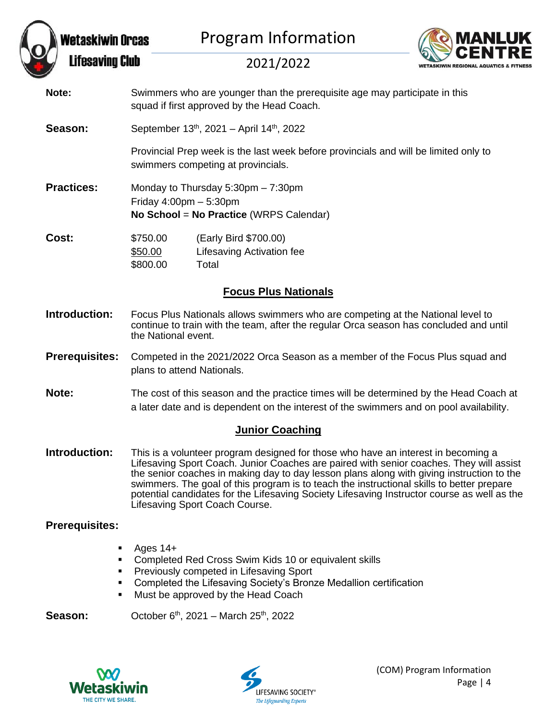



2021/2022

- **Note:** Swimmers who are younger than the prerequisite age may participate in this squad if first approved by the Head Coach.
- **Season:** September 13<sup>th</sup>, 2021 April 14<sup>th</sup>, 2022

Provincial Prep week is the last week before provincials and will be limited only to swimmers competing at provincials.

**Practices:** Monday to Thursday 5:30pm – 7:30pm Friday 4:00pm – 5:30pm **No School** = **No Practice** (WRPS Calendar)

| <b>Cost:</b> | \$750.00 | (Early Bird \$700.00)     |
|--------------|----------|---------------------------|
|              | \$50.00  | Lifesaving Activation fee |
|              | \$800.00 | Total                     |

#### **Focus Plus Nationals**

- **Introduction:** Focus Plus Nationals allows swimmers who are competing at the National level to continue to train with the team, after the regular Orca season has concluded and until the National event.
- **Prerequisites:** Competed in the 2021/2022 Orca Season as a member of the Focus Plus squad and plans to attend Nationals.
- **Note:** The cost of this season and the practice times will be determined by the Head Coach at a later date and is dependent on the interest of the swimmers and on pool availability.

#### **Junior Coaching**

**Introduction:** This is a volunteer program designed for those who have an interest in becoming a Lifesaving Sport Coach. Junior Coaches are paired with senior coaches. They will assist the senior coaches in making day to day lesson plans along with giving instruction to the swimmers. The goal of this program is to teach the instructional skills to better prepare potential candidates for the Lifesaving Society Lifesaving Instructor course as well as the Lifesaving Sport Coach Course.

#### **Prerequisites:**

- Ages  $14+$
- Completed Red Cross Swim Kids 10 or equivalent skills
- Previously competed in Lifesaving Sport
- Completed the Lifesaving Society's Bronze Medallion certification
- Must be approved by the Head Coach

**Season:** October 6<sup>th</sup>, 2021 – March 25<sup>th</sup>, 2022